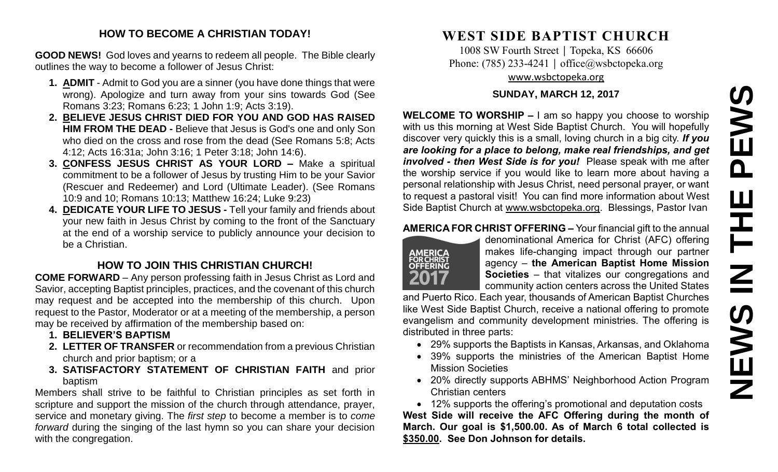#### **HOW TO BECOME A CHRISTIAN TODAY!**

**GOOD NEWS!** God loves and yearns to redeem all people. The Bible clearly outlines the way to become a follower of Jesus Christ:

- **1. ADMIT** Admit to God you are a sinner (you have done things that were wrong). Apologize and turn away from your sins towards God (See Romans 3:23; Romans 6:23; 1 John 1:9; Acts 3:19).
- **2. BELIEVE JESUS CHRIST DIED FOR YOU AND GOD HAS RAISED HIM FROM THE DEAD -** Believe that Jesus is God's one and only Son who died on the cross and rose from the dead (See Romans 5:8; Acts 4:12; Acts 16:31a; John 3:16; 1 Peter 3:18; John 14:6).
- **3. CONFESS JESUS CHRIST AS YOUR LORD –** Make a spiritual commitment to be a follower of Jesus by trusting Him to be your Savior (Rescuer and Redeemer) and Lord (Ultimate Leader). (See Romans 10:9 and 10; Romans 10:13; Matthew 16:24; Luke 9:23)
- **4. DEDICATE YOUR LIFE TO JESUS -** Tell your family and friends about your new faith in Jesus Christ by coming to the front of the Sanctuary at the end of a worship service to publicly announce your decision to be a Christian.

# **HOW TO JOIN THIS CHRISTIAN CHURCH!**

**COME FORWARD** – Any person professing faith in Jesus Christ as Lord and Savior, accepting Baptist principles, practices, and the covenant of this church may request and be accepted into the membership of this church. Upon request to the Pastor, Moderator or at a meeting of the membership, a person may be received by affirmation of the membership based on:

- **1. BELIEVER'S BAPTISM**
- **2. LETTER OF TRANSFER** or recommendation from a previous Christian church and prior baptism; or a
- **3. SATISFACTORY STATEMENT OF CHRISTIAN FAITH** and prior baptism

Members shall strive to be faithful to Christian principles as set forth in scripture and support the mission of the church through attendance, prayer, service and monetary giving. The *first step* to become a member is to *come forward* during the singing of the last hymn so you can share your decision with the congregation.

# **WEST SIDE BAPTIST CHURCH**

1008 SW Fourth Street | Topeka, KS 66606 Phone: (785) 233-4241 │ [office@wsbctopeka.org](mailto:office@wsbctopeka.org) [www.wsbctopeka.org](http://www.wsbctopeka.org/)

#### **SUNDAY, MARCH 12, 2017**

**WELCOME TO WORSHIP –** I am so happy you choose to worship with us this morning at West Side Baptist Church. You will hopefully discover very quickly this is a small, loving church in a big city. *If you are looking for a place to belong, make real friendships, and get involved - then West Side is for you!* Please speak with me after the worship service if you would like to learn more about having a personal relationship with Jesus Christ, need personal prayer, or want to request a pastoral visit! You can find more information about West Side Baptist Church at [www.wsbctopeka.org.](http://www.wsbctopeka.org/) Blessings, Pastor Ivan

#### **AMERICA FOR CHRIST OFFERING –** Your financial gift to the annual



denominational America for Christ (AFC) offering makes life-changing impact through our partner agency – **the American Baptist Home Mission Societies** – that vitalizes our congregations and community action centers across the United States

and Puerto Rico. Each year, thousands of American Baptist Churches like West Side Baptist Church, receive a national offering to promote evangelism and community development ministries. The offering is distributed in three parts:

- 29% supports the Baptists in Kansas, Arkansas, and Oklahoma
- 39% supports the ministries of the American Baptist Home Mission Societies
- 20% directly supports ABHMS' Neighborhood Action Program Christian centers

• 12% supports the offering's promotional and deputation costs **West Side will receive the AFC Offering during the month of March. Our goal is \$1,500.00. As of March 6 total collected is \$350.00. See Don Johnson for details.**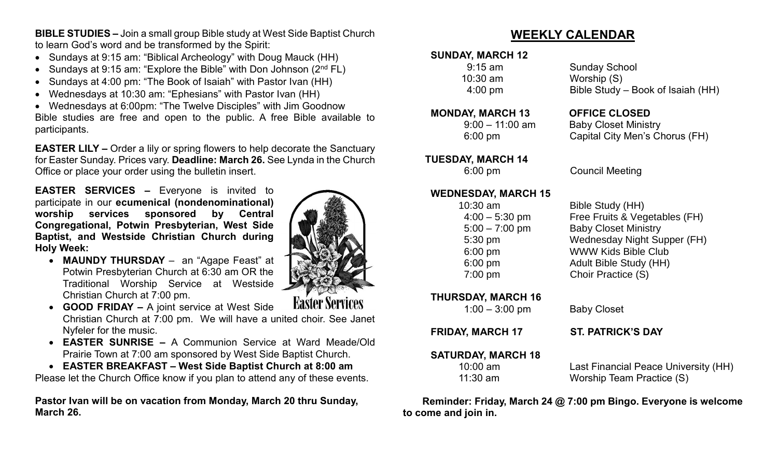**BIBLE STUDIES –** Join a small group Bible study at West Side Baptist Church to learn God's word and be transformed by the Spirit:

- Sundays at 9:15 am: "Biblical Archeology" with Doug Mauck (HH)
- Sundays at 9:15 am: "Explore the Bible" with Don Johnson  $(2^{nd} FL)$
- Sundays at 4:00 pm: "The Book of Isaiah" with Pastor Ivan (HH)
- Wednesdays at 10:30 am: "Ephesians" with Pastor Ivan (HH)

• Wednesdays at 6:00pm: "The Twelve Disciples" with Jim Goodnow Bible studies are free and open to the public. A free Bible available to participants.

**EASTER LILY –** Order a lily or spring flowers to help decorate the Sanctuary for Easter Sunday. Prices vary. **Deadline: March 26.** See Lynda in the Church Office or place your order using the bulletin insert.

**EASTER SERVICES –** Everyone is invited to participate in our **ecumenical (nondenominational) worship services sponsored by Central Congregational, Potwin Presbyterian, West Side Baptist, and Westside Christian Church during Holy Week:**

• **MAUNDY THURSDAY** – an "Agape Feast" at Potwin Presbyterian Church at 6:30 am OR the Traditional Worship Service at Westside Christian Church at 7:00 pm.



**Easter Services** 

- **GOOD FRIDAY –** A joint service at West Side Christian Church at 7:00 pm. We will have a united choir. See Janet Nyfeler for the music.
- **EASTER SUNRISE –** A Communion Service at Ward Meade/Old Prairie Town at 7:00 am sponsored by West Side Baptist Church.
- **EASTER BREAKFAST – West Side Baptist Church at 8:00 am**

Please let the Church Office know if you plan to attend any of these events.

**Pastor Ivan will be on vacation from Monday, March 20 thru Sunday, March 26.**

# **WEEKLY CALENDAR**

### **SUNDAY, MARCH 12**

10:30 am Worship (S)

#### **MONDAY, MARCH 13 OFFICE CLOSED**

# **TUESDAY, MARCH 14**

#### **WEDNESDAY, MARCH 15**

**THURSDAY, MARCH 16**  1:00 – 3:00 pm Baby Closet

**SATURDAY, MARCH 18**

9:15 am Sunday School 4:00 pm Bible Study – Book of Isaiah (HH)

 9:00 – 11:00 am Baby Closet Ministry 6:00 pm Capital City Men's Chorus (FH)

6:00 pm Council Meeting

 10:30 am Bible Study (HH) 4:00 – 5:30 pm Free Fruits & Vegetables (FH) 5:00 – 7:00 pm Baby Closet Ministry 5:30 pm Wednesday Night Supper (FH) 6:00 pm WWW Kids Bible Club 6:00 pm Adult Bible Study (HH) 7:00 pm Choir Practice (S)

**FRIDAY, MARCH 17 ST. PATRICK'S DAY**

10:00 am Last Financial Peace University (HH) 11:30 am Worship Team Practice (S)

 **Reminder: Friday, March 24 @ 7:00 pm Bingo. Everyone is welcome to come and join in.**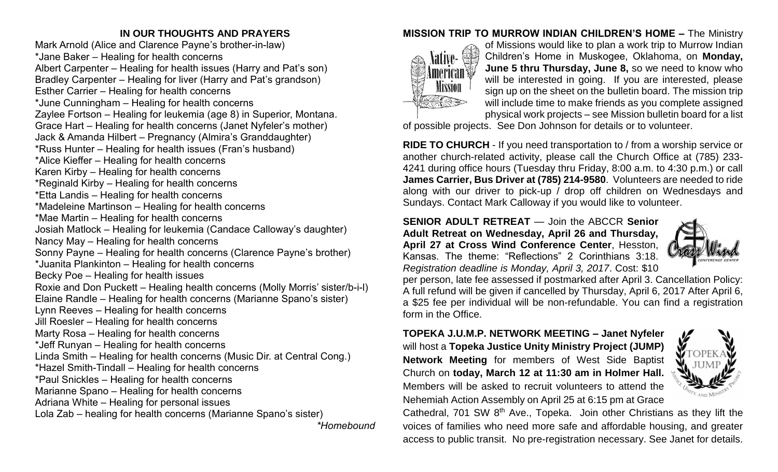## **IN OUR THOUGHTS AND PRAYERS**

Mark Arnold (Alice and Clarence Payne's brother-in-law) \*Jane Baker – Healing for health concerns Albert Carpenter – Healing for health issues (Harry and Pat's son) Bradley Carpenter – Healing for liver (Harry and Pat's grandson) Esther Carrier – Healing for health concerns \*June Cunningham – Healing for health concerns Zaylee Fortson – Healing for leukemia (age 8) in Superior, Montana. Grace Hart – Healing for health concerns (Janet Nyfeler's mother) Jack & Amanda Hilbert – Pregnancy (Almira's Granddaughter) \*Russ Hunter – Healing for health issues (Fran's husband) \*Alice Kieffer – Healing for health concerns Karen Kirby – Healing for health concerns \*Reginald Kirby – Healing for health concerns \*Etta Landis – Healing for health concerns \*Madeleine Martinson – Healing for health concerns \*Mae Martin – Healing for health concerns Josiah Matlock – Healing for leukemia (Candace Calloway's daughter) Nancy May – Healing for health concerns Sonny Payne – Healing for health concerns (Clarence Payne's brother) \*Juanita Plankinton – Healing for health concerns Becky Poe – Healing for health issues Roxie and Don Puckett – Healing health concerns (Molly Morris' sister/b-i-l) Elaine Randle – Healing for health concerns (Marianne Spano's sister) Lynn Reeves – Healing for health concerns Jill Roesler – Healing for health concerns Marty Rosa – Healing for health concerns \*Jeff Runyan – Healing for health concerns Linda Smith – Healing for health concerns (Music Dir. at Central Cong.) \*Hazel Smith-Tindall – Healing for health concerns \*Paul Snickles – Healing for health concerns Marianne Spano – Healing for health concerns Adriana White – Healing for personal issues Lola Zab – healing for health concerns (Marianne Spano's sister)

*\*Homebound*

## **MISSION TRIP TO MURROW INDIAN CHILDREN'S HOME –** The Ministry



of Missions would like to plan a work trip to Murrow Indian Children's Home in Muskogee, Oklahoma, on **Monday, June 5 thru Thursday, June 8,** so we need to know who will be interested in going. If you are interested, please sign up on the sheet on the bulletin board. The mission trip will include time to make friends as you complete assigned physical work projects – see Mission bulletin board for a list

of possible projects. See Don Johnson for details or to volunteer.

**RIDE TO CHURCH** - If you need transportation to / from a worship service or another church-related activity, please call the Church Office at (785) 233- 4241 during office hours (Tuesday thru Friday, 8:00 a.m. to 4:30 p.m.) or call **James Carrier, Bus Driver at (785) 214-9580**. Volunteers are needed to ride along with our driver to pick-up / drop off children on Wednesdays and Sundays. Contact Mark Calloway if you would like to volunteer.

**SENIOR ADULT RETREAT** — Join the ABCCR **Senior Adult Retreat on Wednesday, April 26 and Thursday, April 27 at Cross Wind Conference Center**, Hesston, Kansas. The theme: "Reflections" 2 Corinthians 3:18. *Registration deadline is Monday, April 3, 2017*. Cost: \$10



per person, late fee assessed if postmarked after April 3. Cancellation Policy: A full refund will be given if cancelled by Thursday, April 6, 2017 After April 6, a \$25 fee per individual will be non-refundable. You can find a registration form in the Office.

## **TOPEKA J.U.M.P. NETWORK MEETING – Janet Nyfeler** will host a **Topeka Justice Unity Ministry Project (JUMP) Network Meeting** for members of West Side Baptist Church on **today, March 12 at 11:30 am in Holmer Hall.**  Members will be asked to recruit volunteers to attend the Nehemiah Action Assembly on April 25 at 6:15 pm at Grace



Cathedral, 701 SW 8<sup>th</sup> Ave., Topeka. Join other Christians as they lift the voices of families who need more safe and affordable housing, and greater access to public transit. No pre-registration necessary. See Janet for details.